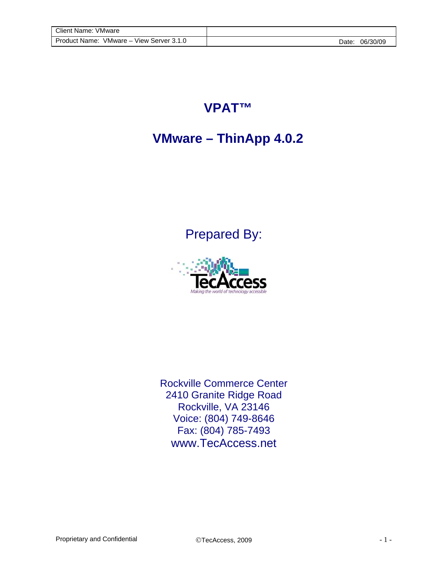## **VPAT™**

## **VMware – ThinApp 4.0.2**

Prepared By:



Rockville Commerce Center 2410 Granite Ridge Road Rockville, VA 23146 Voice: (804) 749-8646 Fax: (804) 785-7493 www.TecAccess.net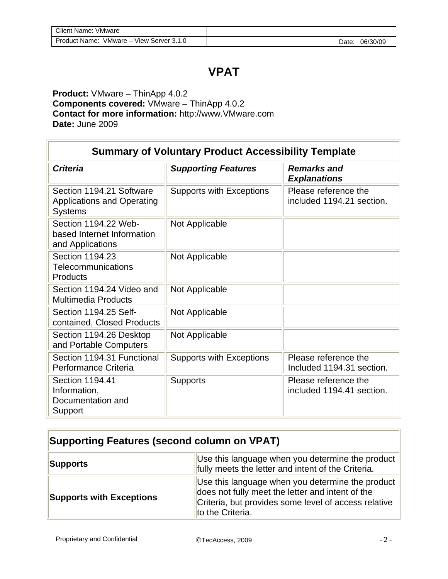## **VPAT**

**Product:** VMware – ThinApp 4.0.2 **Components covered:** VMware – ThinApp 4.0.2 **Contact for more information:** http://www.VMware.com **Date:** June 2009

| <b>Summary of Voluntary Product Accessibility Template</b>                      |                                 |                                                   |
|---------------------------------------------------------------------------------|---------------------------------|---------------------------------------------------|
| <b>Criteria</b>                                                                 | <b>Supporting Features</b>      | <b>Remarks and</b><br><b>Explanations</b>         |
| Section 1194.21 Software<br><b>Applications and Operating</b><br><b>Systems</b> | <b>Supports with Exceptions</b> | Please reference the<br>included 1194.21 section. |
| Section 1194.22 Web-<br>based Internet Information<br>and Applications          | Not Applicable                  |                                                   |
| Section 1194.23<br>Telecommunications<br>Products                               | Not Applicable                  |                                                   |
| Section 1194.24 Video and<br><b>Multimedia Products</b>                         | Not Applicable                  |                                                   |
| Section 1194.25 Self-<br>contained, Closed Products                             | Not Applicable                  |                                                   |
| Section 1194.26 Desktop<br>and Portable Computers                               | Not Applicable                  |                                                   |
| Section 1194.31 Functional<br>Performance Criteria                              | <b>Supports with Exceptions</b> | Please reference the<br>Included 1194.31 section. |
| Section 1194.41<br>Information,<br>Documentation and<br>Support                 | <b>Supports</b>                 | Please reference the<br>included 1194.41 section. |

## **Supporting Features (second column on VPAT)**

| Supports                        | Use this language when you determine the product<br>fully meets the letter and intent of the Criteria.                                                                           |
|---------------------------------|----------------------------------------------------------------------------------------------------------------------------------------------------------------------------------|
| <b>Supports with Exceptions</b> | Use this language when you determine the product<br>does not fully meet the letter and intent of the<br>Criteria, but provides some level of access relative<br>to the Criteria. |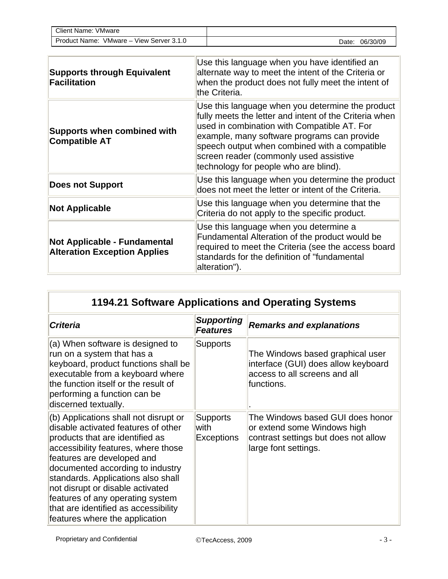| Client Name:<br>VMware     |          |
|----------------------------|----------|
| <b>Product Name:</b>       | 06/30/09 |
| VMware – View Server 3.1.0 | Date.    |

| <b>Supports through Equivalent</b><br><b>Facilitation</b>                  | Use this language when you have identified an<br>alternate way to meet the intent of the Criteria or<br>when the product does not fully meet the intent of<br>the Criteria.                                                                                                                                                                  |
|----------------------------------------------------------------------------|----------------------------------------------------------------------------------------------------------------------------------------------------------------------------------------------------------------------------------------------------------------------------------------------------------------------------------------------|
| <b>Supports when combined with</b><br><b>Compatible AT</b>                 | Use this language when you determine the product<br>fully meets the letter and intent of the Criteria when<br>used in combination with Compatible AT. For<br>example, many software programs can provide<br>speech output when combined with a compatible<br>screen reader (commonly used assistive<br>technology for people who are blind). |
| <b>Does not Support</b>                                                    | Use this language when you determine the product<br>does not meet the letter or intent of the Criteria.                                                                                                                                                                                                                                      |
| <b>Not Applicable</b>                                                      | Use this language when you determine that the<br>Criteria do not apply to the specific product.                                                                                                                                                                                                                                              |
| <b>Not Applicable - Fundamental</b><br><b>Alteration Exception Applies</b> | Use this language when you determine a<br>Fundamental Alteration of the product would be<br>required to meet the Criteria (see the access board<br>standards for the definition of "fundamental<br>alteration").                                                                                                                             |

| <b>Criteria</b>                                                                                                                                                                                                                                                                                                                                                                                                  | <b>Supporting</b><br><b>Features</b>         | <b>Remarks and explanations</b>                                                                                                 |
|------------------------------------------------------------------------------------------------------------------------------------------------------------------------------------------------------------------------------------------------------------------------------------------------------------------------------------------------------------------------------------------------------------------|----------------------------------------------|---------------------------------------------------------------------------------------------------------------------------------|
| (a) When software is designed to<br>run on a system that has a<br>keyboard, product functions shall be<br>executable from a keyboard where<br>the function itself or the result of<br>performing a function can be<br>discerned textually.                                                                                                                                                                       | <b>Supports</b>                              | The Windows based graphical user<br>interface (GUI) does allow keyboard<br>access to all screens and all<br>functions.          |
| (b) Applications shall not disrupt or<br>disable activated features of other<br>products that are identified as<br>accessibility features, where those<br>features are developed and<br>documented according to industry<br>standards. Applications also shall<br>not disrupt or disable activated<br>features of any operating system<br>that are identified as accessibility<br>features where the application | <b>Supports</b><br>with<br><b>Exceptions</b> | The Windows based GUI does honor<br>or extend some Windows high<br>contrast settings but does not allow<br>large font settings. |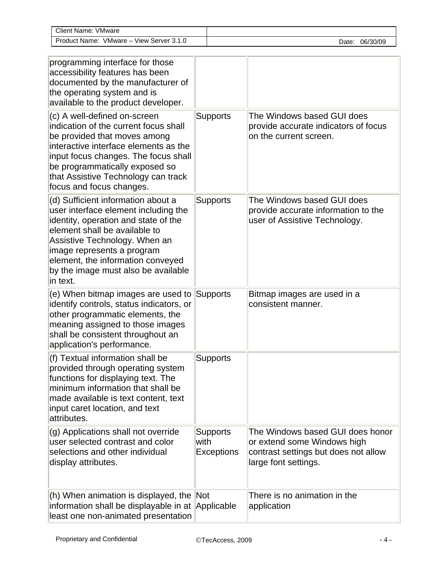| <b>Client Name: VMware</b>                  |                   |
|---------------------------------------------|-------------------|
| VMware - View Server 3.1.0<br>Product Name: | 06/30/09<br>Date: |

| programming interface for those<br>accessibility features has been<br>documented by the manufacturer of<br>the operating system and is<br>available to the product developer.                                                                                                                              |                                              |                                                                                                                                 |
|------------------------------------------------------------------------------------------------------------------------------------------------------------------------------------------------------------------------------------------------------------------------------------------------------------|----------------------------------------------|---------------------------------------------------------------------------------------------------------------------------------|
| (c) A well-defined on-screen<br>indication of the current focus shall<br>be provided that moves among<br>interactive interface elements as the<br>input focus changes. The focus shall<br>be programmatically exposed so<br>that Assistive Technology can track<br>focus and focus changes.                | <b>Supports</b>                              | The Windows based GUI does<br>provide accurate indicators of focus<br>on the current screen.                                    |
| (d) Sufficient information about a<br>user interface element including the<br>identity, operation and state of the<br>element shall be available to<br>Assistive Technology. When an<br>image represents a program<br>element, the information conveyed<br>by the image must also be available<br>in text. | <b>Supports</b>                              | The Windows based GUI does<br>provide accurate information to the<br>user of Assistive Technology.                              |
| (e) When bitmap images are used to<br>identify controls, status indicators, or<br>other programmatic elements, the<br>meaning assigned to those images<br>shall be consistent throughout an<br>application's performance.                                                                                  | <b>Supports</b>                              | Bitmap images are used in a<br>consistent manner.                                                                               |
| (f) Textual information shall be<br>provided through operating system<br>functions for displaying text. The<br>minimum information that shall be<br>made available is text content, text<br>input caret location, and text<br>attributes.                                                                  | <b>Supports</b>                              |                                                                                                                                 |
| (g) Applications shall not override<br>user selected contrast and color<br>selections and other individual<br>display attributes.                                                                                                                                                                          | <b>Supports</b><br>with<br><b>Exceptions</b> | The Windows based GUI does honor<br>or extend some Windows high<br>contrast settings but does not allow<br>large font settings. |
| (h) When animation is displayed, the Not<br>information shall be displayable in at Applicable<br>least one non-animated presentation                                                                                                                                                                       |                                              | There is no animation in the<br>application                                                                                     |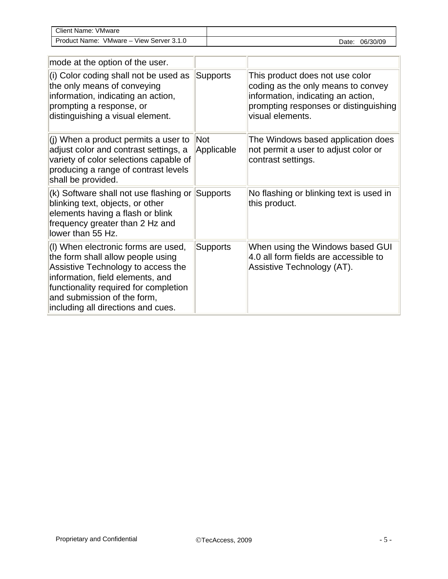| Client Name:<br><b>VMware</b>                            |                   |
|----------------------------------------------------------|-------------------|
| <b>Product Name:</b><br>Server 3.1.0<br>VMware –<br>View | 06/30/09<br>Date: |

| mode at the option of the user.                                                                                                                                                                                                                                  |                          |                                                                                                                                                                          |
|------------------------------------------------------------------------------------------------------------------------------------------------------------------------------------------------------------------------------------------------------------------|--------------------------|--------------------------------------------------------------------------------------------------------------------------------------------------------------------------|
| (i) Color coding shall not be used as<br>the only means of conveying<br>information, indicating an action,<br>prompting a response, or<br>distinguishing a visual element.                                                                                       | <b>Supports</b>          | This product does not use color<br>coding as the only means to convey<br>information, indicating an action,<br>prompting responses or distinguishing<br>visual elements. |
| (i) When a product permits a user to<br>adjust color and contrast settings, a<br>variety of color selections capable of<br>producing a range of contrast levels<br>shall be provided.                                                                            | <b>Not</b><br>Applicable | The Windows based application does<br>not permit a user to adjust color or<br>contrast settings.                                                                         |
| (k) Software shall not use flashing or<br>blinking text, objects, or other<br>elements having a flash or blink<br>frequency greater than 2 Hz and<br>lower than 55 Hz.                                                                                           | Supports                 | No flashing or blinking text is used in<br>this product.                                                                                                                 |
| (I) When electronic forms are used,<br>the form shall allow people using<br>Assistive Technology to access the<br>information, field elements, and<br>functionality required for completion<br>and submission of the form,<br>including all directions and cues. | <b>Supports</b>          | When using the Windows based GUI<br>4.0 all form fields are accessible to<br>Assistive Technology (AT).                                                                  |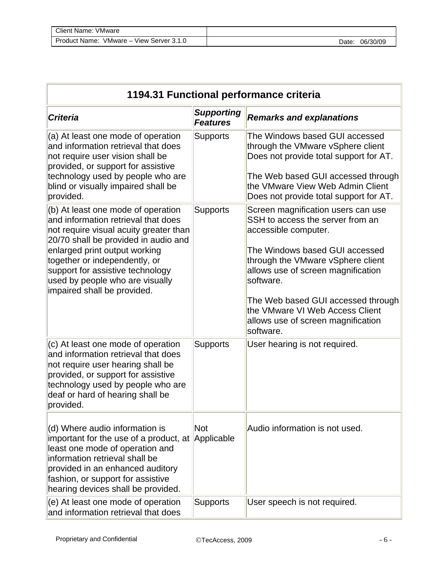| Client Name: \<br>VMware   |          |
|----------------------------|----------|
| VMware - View Server 3.1.0 | 06/30/09 |
| Product Name:              | Date:    |

| 1194.31 Functional performance criteria                                                                                                                                                                                                                                                                                             |                                      |                                                                                                                                                                                                                                                                                                                                                      |
|-------------------------------------------------------------------------------------------------------------------------------------------------------------------------------------------------------------------------------------------------------------------------------------------------------------------------------------|--------------------------------------|------------------------------------------------------------------------------------------------------------------------------------------------------------------------------------------------------------------------------------------------------------------------------------------------------------------------------------------------------|
| <b>Criteria</b>                                                                                                                                                                                                                                                                                                                     | <b>Supporting</b><br><b>Features</b> | <b>Remarks and explanations</b>                                                                                                                                                                                                                                                                                                                      |
| (a) At least one mode of operation<br>and information retrieval that does<br>not require user vision shall be<br>provided, or support for assistive<br>technology used by people who are<br>blind or visually impaired shall be<br>provided.                                                                                        | <b>Supports</b>                      | The Windows based GUI accessed<br>through the VMware vSphere client<br>Does not provide total support for AT.<br>The Web based GUI accessed through<br>the VMware View Web Admin Client<br>Does not provide total support for AT.                                                                                                                    |
| (b) At least one mode of operation<br>and information retrieval that does<br>not require visual acuity greater than<br>20/70 shall be provided in audio and<br>enlarged print output working<br>together or independently, or<br>support for assistive technology<br>used by people who are visually<br>impaired shall be provided. | <b>Supports</b>                      | Screen magnification users can use<br>SSH to access the server from an<br>accessible computer.<br>The Windows based GUI accessed<br>through the VMware vSphere client<br>allows use of screen magnification<br>software.<br>The Web based GUI accessed through<br>the VMware VI Web Access Client<br>allows use of screen magnification<br>software. |
| (c) At least one mode of operation<br>and information retrieval that does<br>not require user hearing shall be<br>provided, or support for assistive<br>technology used by people who are<br>deaf or hard of hearing shall be<br>provided.                                                                                          | <b>Supports</b>                      | User hearing is not required.                                                                                                                                                                                                                                                                                                                        |
| (d) Where audio information is<br>important for the use of a product, at Applicable<br>least one mode of operation and<br>information retrieval shall be<br>provided in an enhanced auditory<br>fashion, or support for assistive<br>hearing devices shall be provided.                                                             | <b>Not</b>                           | Audio information is not used.                                                                                                                                                                                                                                                                                                                       |
| (e) At least one mode of operation<br>and information retrieval that does                                                                                                                                                                                                                                                           | <b>Supports</b>                      | User speech is not required.                                                                                                                                                                                                                                                                                                                         |